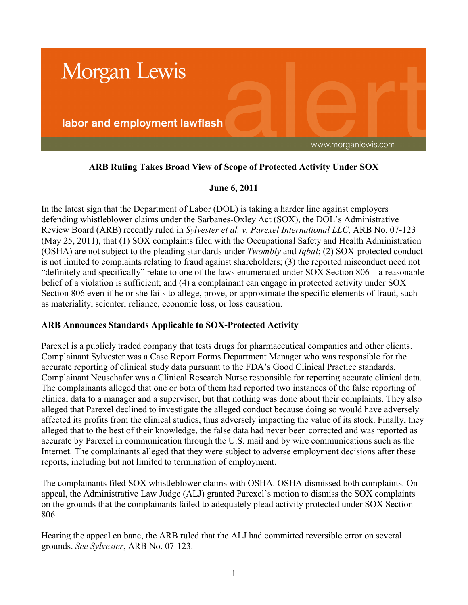

## **ARB Ruling Takes Broad View of Scope of Protected Activity Under SOX**

## **June 6, 2011**

In the latest sign that the Department of Labor (DOL) is taking a harder line against employers defending whistleblower claims under the Sarbanes-Oxley Act (SOX), the DOL's Administrative Review Board (ARB) recently ruled in *Sylvester et al. v. Parexel International LLC*, ARB No. 07-123 (May 25, 2011), that (1) SOX complaints filed with the Occupational Safety and Health Administration (OSHA) are not subject to the pleading standards under *Twombly* and *Iqbal*; (2) SOX-protected conduct is not limited to complaints relating to fraud against shareholders; (3) the reported misconduct need not "definitely and specifically" relate to one of the laws enumerated under SOX Section 806—a reasonable belief of a violation is sufficient; and (4) a complainant can engage in protected activity under SOX Section 806 even if he or she fails to allege, prove, or approximate the specific elements of fraud, such as materiality, scienter, reliance, economic loss, or loss causation.

## **ARB Announces Standards Applicable to SOX-Protected Activity**

Parexel is a publicly traded company that tests drugs for pharmaceutical companies and other clients. Complainant Sylvester was a Case Report Forms Department Manager who was responsible for the accurate reporting of clinical study data pursuant to the FDA's Good Clinical Practice standards. Complainant Neuschafer was a Clinical Research Nurse responsible for reporting accurate clinical data. The complainants alleged that one or both of them had reported two instances of the false reporting of clinical data to a manager and a supervisor, but that nothing was done about their complaints. They also alleged that Parexel declined to investigate the alleged conduct because doing so would have adversely affected its profits from the clinical studies, thus adversely impacting the value of its stock. Finally, they alleged that to the best of their knowledge, the false data had never been corrected and was reported as accurate by Parexel in communication through the U.S. mail and by wire communications such as the Internet. The complainants alleged that they were subject to adverse employment decisions after these reports, including but not limited to termination of employment.

The complainants filed SOX whistleblower claims with OSHA. OSHA dismissed both complaints. On appeal, the Administrative Law Judge (ALJ) granted Parexel's motion to dismiss the SOX complaints on the grounds that the complainants failed to adequately plead activity protected under SOX Section 806.

Hearing the appeal en banc, the ARB ruled that the ALJ had committed reversible error on several grounds. *See Sylvester*, ARB No. 07-123.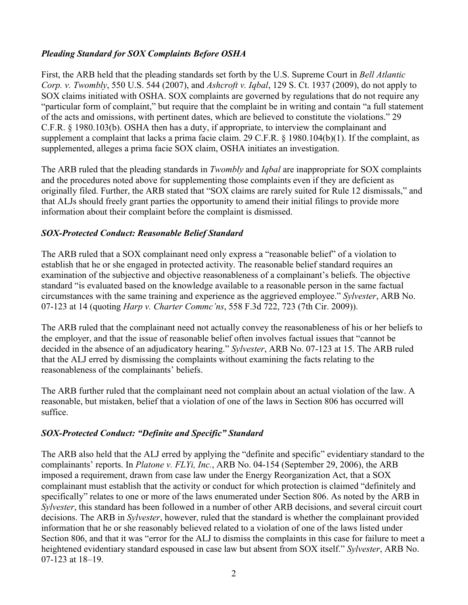# *Pleading Standard for SOX Complaints Before OSHA*

First, the ARB held that the pleading standards set forth by the U.S. Supreme Court in *Bell Atlantic Corp. v. Twombly*, 550 U.S. 544 (2007), and *Ashcroft v. Iqbal*, 129 S. Ct. 1937 (2009), do not apply to SOX claims initiated with OSHA. SOX complaints are governed by regulations that do not require any "particular form of complaint," but require that the complaint be in writing and contain "a full statement of the acts and omissions, with pertinent dates, which are believed to constitute the violations." 29 C.F.R. § 1980.103(b). OSHA then has a duty, if appropriate, to interview the complainant and supplement a complaint that lacks a prima facie claim. 29 C.F.R. § 1980.104(b)(1). If the complaint, as supplemented, alleges a prima facie SOX claim, OSHA initiates an investigation.

The ARB ruled that the pleading standards in *Twombly* and *Iqbal* are inappropriate for SOX complaints and the procedures noted above for supplementing those complaints even if they are deficient as originally filed. Further, the ARB stated that "SOX claims are rarely suited for Rule 12 dismissals," and that ALJs should freely grant parties the opportunity to amend their initial filings to provide more information about their complaint before the complaint is dismissed.

## *SOX-Protected Conduct: Reasonable Belief Standard*

The ARB ruled that a SOX complainant need only express a "reasonable belief" of a violation to establish that he or she engaged in protected activity. The reasonable belief standard requires an examination of the subjective and objective reasonableness of a complainant's beliefs. The objective standard "is evaluated based on the knowledge available to a reasonable person in the same factual circumstances with the same training and experience as the aggrieved employee." *Sylvester*, ARB No. 07-123 at 14 (quoting *Harp v. Charter Commc'ns*, 558 F.3d 722, 723 (7th Cir. 2009)).

The ARB ruled that the complainant need not actually convey the reasonableness of his or her beliefs to the employer, and that the issue of reasonable belief often involves factual issues that "cannot be decided in the absence of an adjudicatory hearing." *Sylvester*, ARB No. 07-123 at 15. The ARB ruled that the ALJ erred by dismissing the complaints without examining the facts relating to the reasonableness of the complainants' beliefs.

The ARB further ruled that the complainant need not complain about an actual violation of the law. A reasonable, but mistaken, belief that a violation of one of the laws in Section 806 has occurred will suffice.

## *SOX-Protected Conduct: "Definite and Specific" Standard*

The ARB also held that the ALJ erred by applying the "definite and specific" evidentiary standard to the complainants' reports. In *Platone v. FLYi, Inc.*, ARB No. 04-154 (September 29, 2006), the ARB imposed a requirement, drawn from case law under the Energy Reorganization Act, that a SOX complainant must establish that the activity or conduct for which protection is claimed "definitely and specifically" relates to one or more of the laws enumerated under Section 806. As noted by the ARB in *Sylvester*, this standard has been followed in a number of other ARB decisions, and several circuit court decisions. The ARB in *Sylvester*, however, ruled that the standard is whether the complainant provided information that he or she reasonably believed related to a violation of one of the laws listed under Section 806, and that it was "error for the ALJ to dismiss the complaints in this case for failure to meet a heightened evidentiary standard espoused in case law but absent from SOX itself." *Sylvester*, ARB No. 07-123 at 18–19.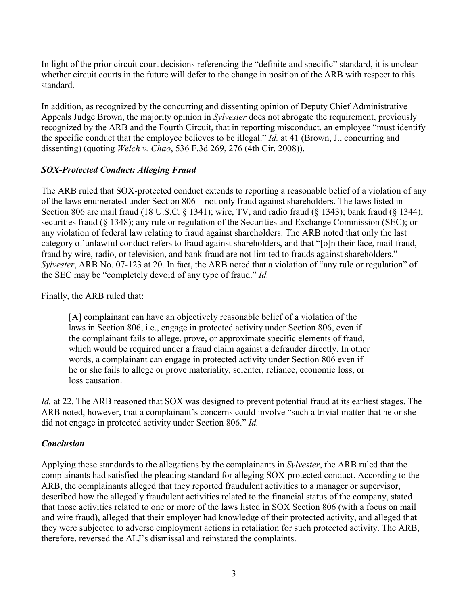In light of the prior circuit court decisions referencing the "definite and specific" standard, it is unclear whether circuit courts in the future will defer to the change in position of the ARB with respect to this standard.

In addition, as recognized by the concurring and dissenting opinion of Deputy Chief Administrative Appeals Judge Brown, the majority opinion in *Sylvester* does not abrogate the requirement, previously recognized by the ARB and the Fourth Circuit, that in reporting misconduct, an employee "must identify the specific conduct that the employee believes to be illegal." *Id.* at 41 (Brown, J., concurring and dissenting) (quoting *Welch v. Chao*, 536 F.3d 269, 276 (4th Cir. 2008)).

## *SOX-Protected Conduct: Alleging Fraud*

The ARB ruled that SOX-protected conduct extends to reporting a reasonable belief of a violation of any of the laws enumerated under Section 806—not only fraud against shareholders. The laws listed in Section 806 are mail fraud (18 U.S.C. § 1341); wire, TV, and radio fraud (§ 1343); bank fraud (§ 1344); securities fraud (§ 1348); any rule or regulation of the Securities and Exchange Commission (SEC); or any violation of federal law relating to fraud against shareholders. The ARB noted that only the last category of unlawful conduct refers to fraud against shareholders, and that "[o]n their face, mail fraud, fraud by wire, radio, or television, and bank fraud are not limited to frauds against shareholders." *Sylvester*, ARB No. 07-123 at 20. In fact, the ARB noted that a violation of "any rule or regulation" of the SEC may be "completely devoid of any type of fraud." *Id.*

Finally, the ARB ruled that:

[A] complainant can have an objectively reasonable belief of a violation of the laws in Section 806, i.e., engage in protected activity under Section 806, even if the complainant fails to allege, prove, or approximate specific elements of fraud, which would be required under a fraud claim against a defrauder directly. In other words, a complainant can engage in protected activity under Section 806 even if he or she fails to allege or prove materiality, scienter, reliance, economic loss, or loss causation.

*Id.* at 22. The ARB reasoned that SOX was designed to prevent potential fraud at its earliest stages. The ARB noted, however, that a complainant's concerns could involve "such a trivial matter that he or she did not engage in protected activity under Section 806." *Id.*

## *Conclusion*

Applying these standards to the allegations by the complainants in *Sylvester*, the ARB ruled that the complainants had satisfied the pleading standard for alleging SOX-protected conduct. According to the ARB, the complainants alleged that they reported fraudulent activities to a manager or supervisor, described how the allegedly fraudulent activities related to the financial status of the company, stated that those activities related to one or more of the laws listed in SOX Section 806 (with a focus on mail and wire fraud), alleged that their employer had knowledge of their protected activity, and alleged that they were subjected to adverse employment actions in retaliation for such protected activity. The ARB, therefore, reversed the ALJ's dismissal and reinstated the complaints.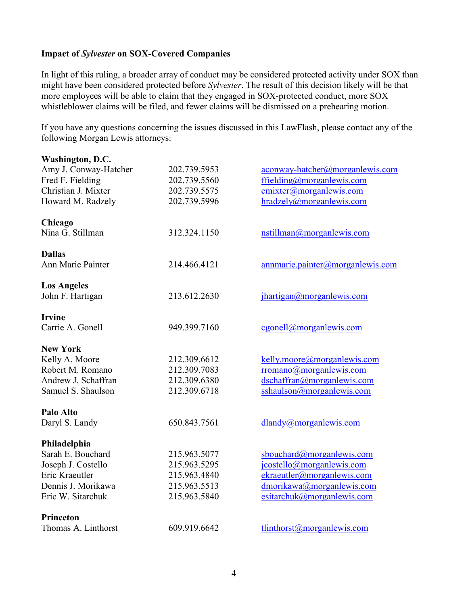## **Impact of** *Sylvester* **on SOX-Covered Companies**

In light of this ruling, a broader array of conduct may be considered protected activity under SOX than might have been considered protected before *Sylvester*. The result of this decision likely will be that more employees will be able to claim that they engaged in SOX-protected conduct, more SOX whistleblower claims will be filed, and fewer claims will be dismissed on a prehearing motion.

If you have any questions concerning the issues discussed in this LawFlash, please contact any of the following Morgan Lewis attorneys:

| Washington, D.C.      |              |                                        |
|-----------------------|--------------|----------------------------------------|
| Amy J. Conway-Hatcher | 202.739.5953 | aconway-hatcher@morganlewis.com        |
| Fred F. Fielding      | 202.739.5560 | ffielding@morganlewis.com              |
| Christian J. Mixter   | 202.739.5575 | cmixter@morganlewis.com                |
| Howard M. Radzely     | 202.739.5996 | hradzely@morganlewis.com               |
| Chicago               |              |                                        |
| Nina G. Stillman      | 312.324.1150 | nstillman@morganlewis.com              |
| <b>Dallas</b>         |              |                                        |
| Ann Marie Painter     | 214.466.4121 | annmarie.painter@morganlewis.com       |
| <b>Los Angeles</b>    |              |                                        |
| John F. Hartigan      | 213.612.2630 | jhartigan@morganlewis.com              |
| <b>Irvine</b>         |              |                                        |
| Carrie A. Gonell      | 949.399.7160 | $c$ gonell@morganlewis.com             |
| <b>New York</b>       |              |                                        |
| Kelly A. Moore        | 212.309.6612 | kelly.moore@morganlewis.com            |
| Robert M. Romano      | 212.309.7083 | rromano@morganlewis.com                |
| Andrew J. Schaffran   | 212.309.6380 | dschaffran@morganlewis.com             |
| Samuel S. Shaulson    | 212.309.6718 | sshaulson@morganlewis.com              |
| <b>Palo Alto</b>      |              |                                        |
| Daryl S. Landy        | 650.843.7561 | $d$ landy@morganlewis.com              |
| Philadelphia          |              |                                        |
| Sarah E. Bouchard     | 215.963.5077 | sbouchard@morganlewis.com              |
| Joseph J. Costello    | 215.963.5295 | jcostello@morganlewis.com              |
| Eric Kraeutler        | 215.963.4840 | ekraeutler@morganlewis.com             |
| Dennis J. Morikawa    | 215.963.5513 | dmorikawa@morganlewis.com              |
| Eric W. Sitarchuk     | 215.963.5840 | esitarchuk@morganlewis.com             |
| <b>Princeton</b>      |              |                                        |
| Thomas A. Linthorst   | 609.919.6642 | $tlinkhorst(\partial)$ morganlewis.com |
|                       |              |                                        |